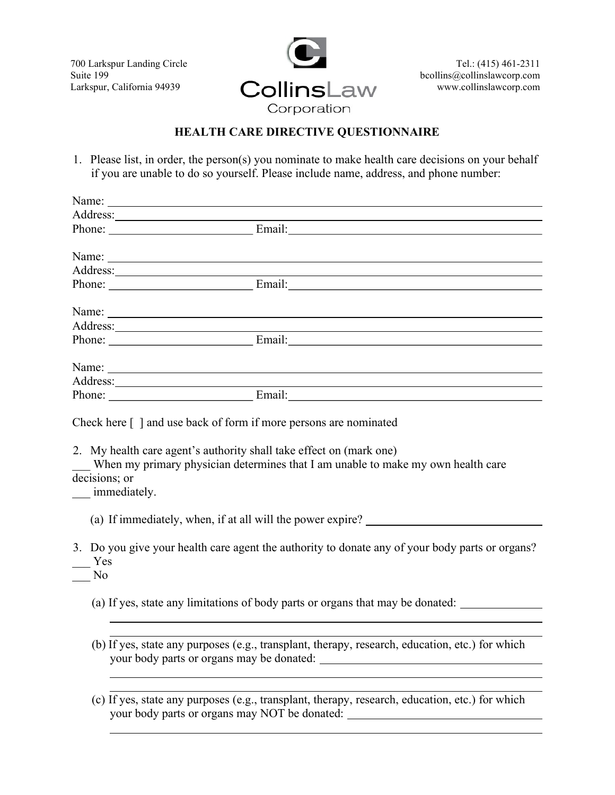700 Larkspur Landing Circle Suite 199 Larkspur, California 94939



# HEALTH CARE DIRECTIVE QUESTIONNAIRE

1. Please list, in order, the person(s) you nominate to make health care decisions on your behalf if you are unable to do so yourself. Please include name, address, and phone number:

|                                               | Name: Name                                                                                                                                                                                                                                                                                                               |
|-----------------------------------------------|--------------------------------------------------------------------------------------------------------------------------------------------------------------------------------------------------------------------------------------------------------------------------------------------------------------------------|
|                                               |                                                                                                                                                                                                                                                                                                                          |
|                                               |                                                                                                                                                                                                                                                                                                                          |
|                                               |                                                                                                                                                                                                                                                                                                                          |
|                                               |                                                                                                                                                                                                                                                                                                                          |
|                                               | Phone: Email: Email:                                                                                                                                                                                                                                                                                                     |
|                                               |                                                                                                                                                                                                                                                                                                                          |
|                                               |                                                                                                                                                                                                                                                                                                                          |
|                                               | Phone: Email: Email:                                                                                                                                                                                                                                                                                                     |
|                                               |                                                                                                                                                                                                                                                                                                                          |
|                                               | Name:                                                                                                                                                                                                                                                                                                                    |
|                                               |                                                                                                                                                                                                                                                                                                                          |
| decisions; or<br>__ immediately.<br>Yes<br>No | 2. My health care agent's authority shall take effect on (mark one)<br>When my primary physician determines that I am unable to make my own health care<br>(a) If immediately, when, if at all will the power expire?<br>3. Do you give your health care agent the authority to donate any of your body parts or organs? |
|                                               | (a) If yes, state any limitations of body parts or organs that may be donated:                                                                                                                                                                                                                                           |
|                                               |                                                                                                                                                                                                                                                                                                                          |
|                                               | (b) If yes, state any purposes (e.g., transplant, therapy, research, education, etc.) for which<br>your body parts or organs may be donated:                                                                                                                                                                             |
|                                               |                                                                                                                                                                                                                                                                                                                          |
|                                               |                                                                                                                                                                                                                                                                                                                          |
|                                               | (c) If yes, state any purposes (e.g., transplant, therapy, research, education, etc.) for which<br>your body parts or organs may NOT be donated:                                                                                                                                                                         |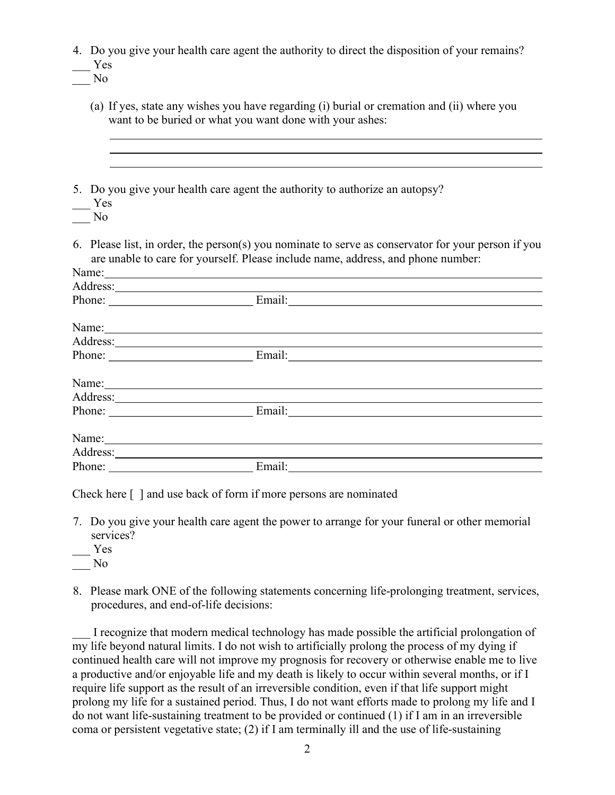| Yes                   | 4. Do you give your health care agent the authority to direct the disposition of your remains?                                                                                                                                |
|-----------------------|-------------------------------------------------------------------------------------------------------------------------------------------------------------------------------------------------------------------------------|
| No                    |                                                                                                                                                                                                                               |
|                       | (a) If yes, state any wishes you have regarding (i) burial or cremation and (ii) where you<br>want to be buried or what you want done with your ashes:                                                                        |
| Yes<br>N <sub>o</sub> | 5. Do you give your health care agent the authority to authorize an autopsy?                                                                                                                                                  |
|                       | 6. Please list, in order, the person(s) you nominate to serve as conservator for your person if you<br>are unable to care for yourself. Please include name, address, and phone number:                                       |
|                       | Name: Name and the same state of the same state of the same state of the same state of the same state of the same state of the same state of the same state of the same state of the same state of the same state of the same |
|                       |                                                                                                                                                                                                                               |
|                       | Phone: Email: Email:                                                                                                                                                                                                          |
|                       | Name: Name and the second contract of the second contract of the second contract of the second contract of the second contract of the second contract of the second contract of the second contract of the second contract of |
|                       |                                                                                                                                                                                                                               |
|                       | Phone: Email: Email:                                                                                                                                                                                                          |
|                       | Name: Name: Name: Name: Name: Name: Name: Name: Name: Name: Name: Name: Name: Name: Name: Name: Name: Name: Name: Name: Name: Name: Name: Name: Name: Name: Name: Name: Name: Name: Name: Name: Name: Name: Name: Name: Name: |
|                       |                                                                                                                                                                                                                               |
|                       | Phone: Email: Email:                                                                                                                                                                                                          |
|                       | Name: Name and the second contract of the second contract of the second contract of the second contract of the second contract of the second contract of the second contract of the second contract of the second contract of |
|                       |                                                                                                                                                                                                                               |
|                       |                                                                                                                                                                                                                               |

Check here [ ] and use back of form if more persons are nominated

- 7. Do you give your health care agent the power to arrange for your funeral or other memorial services?
- \_\_\_ Yes
- \_\_\_ No
- 8. Please mark ONE of the following statements concerning life-prolonging treatment, services, procedures, and end-of-life decisions:

I recognize that modern medical technology has made possible the artificial prolongation of my life beyond natural limits. I do not wish to artificially prolong the process of my dying if continued health care will not improve my prognosis for recovery or otherwise enable me to live a productive and/or enjoyable life and my death is likely to occur within several months, or if I require life support as the result of an irreversible condition, even if that life support might prolong my life for a sustained period. Thus, I do not want efforts made to prolong my life and I do not want life-sustaining treatment to be provided or continued (1) if I am in an irreversible coma or persistent vegetative state; (2) if I am terminally ill and the use of life-sustaining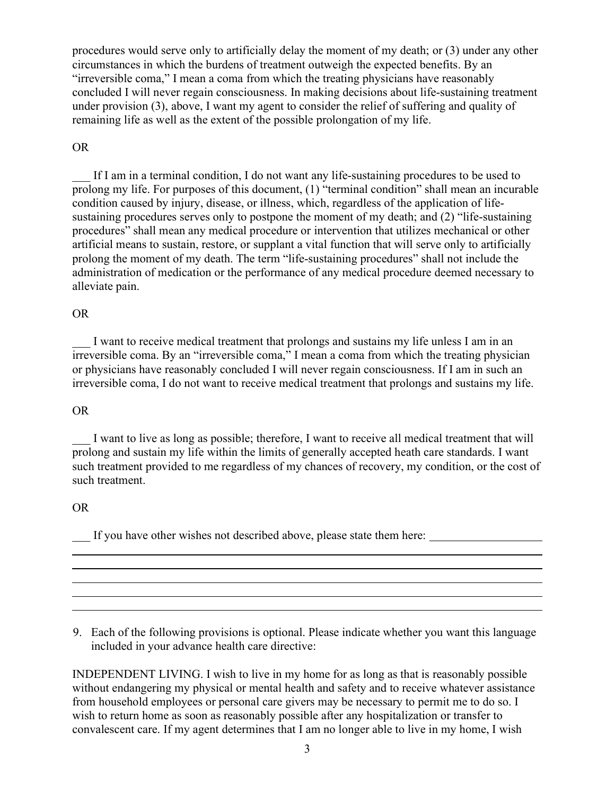procedures would serve only to artificially delay the moment of my death; or (3) under any other circumstances in which the burdens of treatment outweigh the expected benefits. By an "irreversible coma," I mean a coma from which the treating physicians have reasonably concluded I will never regain consciousness. In making decisions about life-sustaining treatment under provision (3), above, I want my agent to consider the relief of suffering and quality of remaining life as well as the extent of the possible prolongation of my life.

## OR

If I am in a terminal condition, I do not want any life-sustaining procedures to be used to prolong my life. For purposes of this document, (1) "terminal condition" shall mean an incurable condition caused by injury, disease, or illness, which, regardless of the application of lifesustaining procedures serves only to postpone the moment of my death; and (2) "life-sustaining procedures" shall mean any medical procedure or intervention that utilizes mechanical or other artificial means to sustain, restore, or supplant a vital function that will serve only to artificially prolong the moment of my death. The term "life-sustaining procedures" shall not include the administration of medication or the performance of any medical procedure deemed necessary to alleviate pain.

## OR

I want to receive medical treatment that prolongs and sustains my life unless I am in an irreversible coma. By an "irreversible coma," I mean a coma from which the treating physician or physicians have reasonably concluded I will never regain consciousness. If I am in such an irreversible coma, I do not want to receive medical treatment that prolongs and sustains my life.

#### OR

I want to live as long as possible; therefore, I want to receive all medical treatment that will prolong and sustain my life within the limits of generally accepted heath care standards. I want such treatment provided to me regardless of my chances of recovery, my condition, or the cost of such treatment.

#### OR

l

If you have other wishes not described above, please state them here:

9. Each of the following provisions is optional. Please indicate whether you want this language included in your advance health care directive:

INDEPENDENT LIVING. I wish to live in my home for as long as that is reasonably possible without endangering my physical or mental health and safety and to receive whatever assistance from household employees or personal care givers may be necessary to permit me to do so. I wish to return home as soon as reasonably possible after any hospitalization or transfer to convalescent care. If my agent determines that I am no longer able to live in my home, I wish